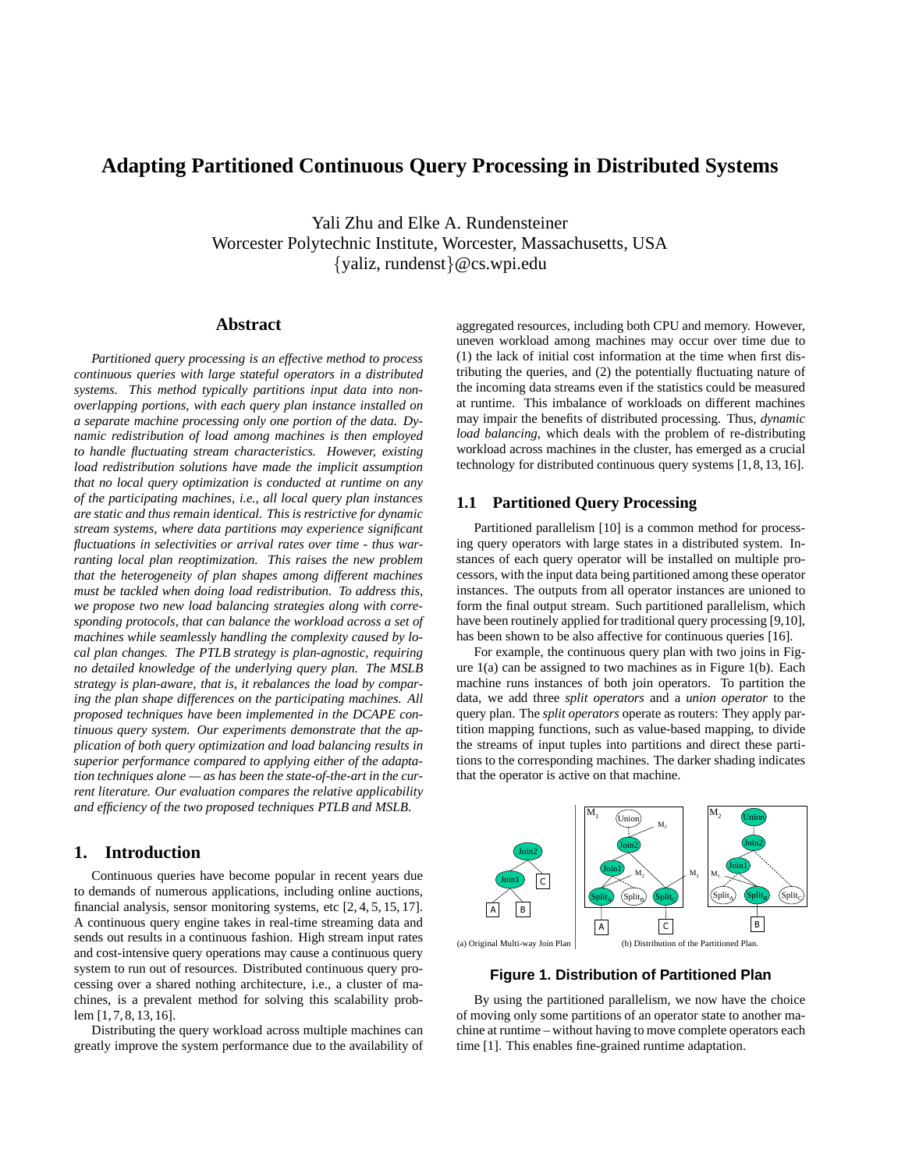# **Adapting Partitioned Continuous Query Processing in Distributed Systems**

Yali Zhu and Elke A. Rundensteiner Worcester Polytechnic Institute, Worcester, Massachusetts, USA {yaliz, rundenst}@cs.wpi.edu

# **Abstract**

*Partitioned query processing is an effective method to process continuous queries with large stateful operators in a distributed systems. This method typically partitions input data into nonoverlapping portions, with each query plan instance installed on a separate machine processing only one portion of the data. Dynamic redistribution of load among machines is then employed to handle fluctuating stream characteristics. However, existing load redistribution solutions have made the implicit assumption that no local query optimization is conducted at runtime on any of the participating machines, i.e., all local query plan instances are static and thus remain identical. This is restrictive for dynamic stream systems, where data partitions may experience significant fluctuations in selectivities or arrival rates over time - thus warranting local plan reoptimization. This raises the new problem that the heterogeneity of plan shapes among different machines must be tackled when doing load redistribution. To address this, we propose two new load balancing strategies along with corresponding protocols, that can balance the workload across a set of machines while seamlessly handling the complexity caused by local plan changes. The PTLB strategy is plan-agnostic, requiring no detailed knowledge of the underlying query plan. The MSLB strategy is plan-aware, that is, it rebalances the load by comparing the plan shape differences on the participating machines. All proposed techniques have been implemented in the DCAPE continuous query system. Our experiments demonstrate that the application of both query optimization and load balancing results in superior performance compared to applying either of the adaptation techniques alone — as has been the state-of-the-art in the current literature. Our evaluation compares the relative applicability and efficiency of the two proposed techniques PTLB and MSLB.*

# **1. Introduction**

Continuous queries have become popular in recent years due to demands of numerous applications, including online auctions, financial analysis, sensor monitoring systems, etc [2, 4, 5, 15, 17]. A continuous query engine takes in real-time streaming data and sends out results in a continuous fashion. High stream input rates and cost-intensive query operations may cause a continuous query system to run out of resources. Distributed continuous query processing over a shared nothing architecture, i.e., a cluster of machines, is a prevalent method for solving this scalability problem [1, 7, 8, 13, 16].

Distributing the query workload across multiple machines can greatly improve the system performance due to the availability of aggregated resources, including both CPU and memory. However, uneven workload among machines may occur over time due to (1) the lack of initial cost information at the time when first distributing the queries, and (2) the potentially fluctuating nature of the incoming data streams even if the statistics could be measured at runtime. This imbalance of workloads on different machines may impair the benefits of distributed processing. Thus, *dynamic load balancing*, which deals with the problem of re-distributing workload across machines in the cluster, has emerged as a crucial technology for distributed continuous query systems [1, 8, 13, 16].

# **1.1 Partitioned Query Processing**

Partitioned parallelism [10] is a common method for processing query operators with large states in a distributed system. Instances of each query operator will be installed on multiple processors, with the input data being partitioned among these operator instances. The outputs from all operator instances are unioned to form the final output stream. Such partitioned parallelism, which have been routinely applied for traditional query processing [9,10], has been shown to be also affective for continuous queries [16].

For example, the continuous query plan with two joins in Figure 1(a) can be assigned to two machines as in Figure 1(b). Each machine runs instances of both join operators. To partition the data, we add three *split operators* and a *union operator* to the query plan. The *split operators* operate as routers: They apply partition mapping functions, such as value-based mapping, to divide the streams of input tuples into partitions and direct these partitions to the corresponding machines. The darker shading indicates that the operator is active on that machine.



### **Figure 1. Distribution of Partitioned Plan**

By using the partitioned parallelism, we now have the choice of moving only some partitions of an operator state to another machine at runtime – without having to move complete operators each time [1]. This enables fine-grained runtime adaptation.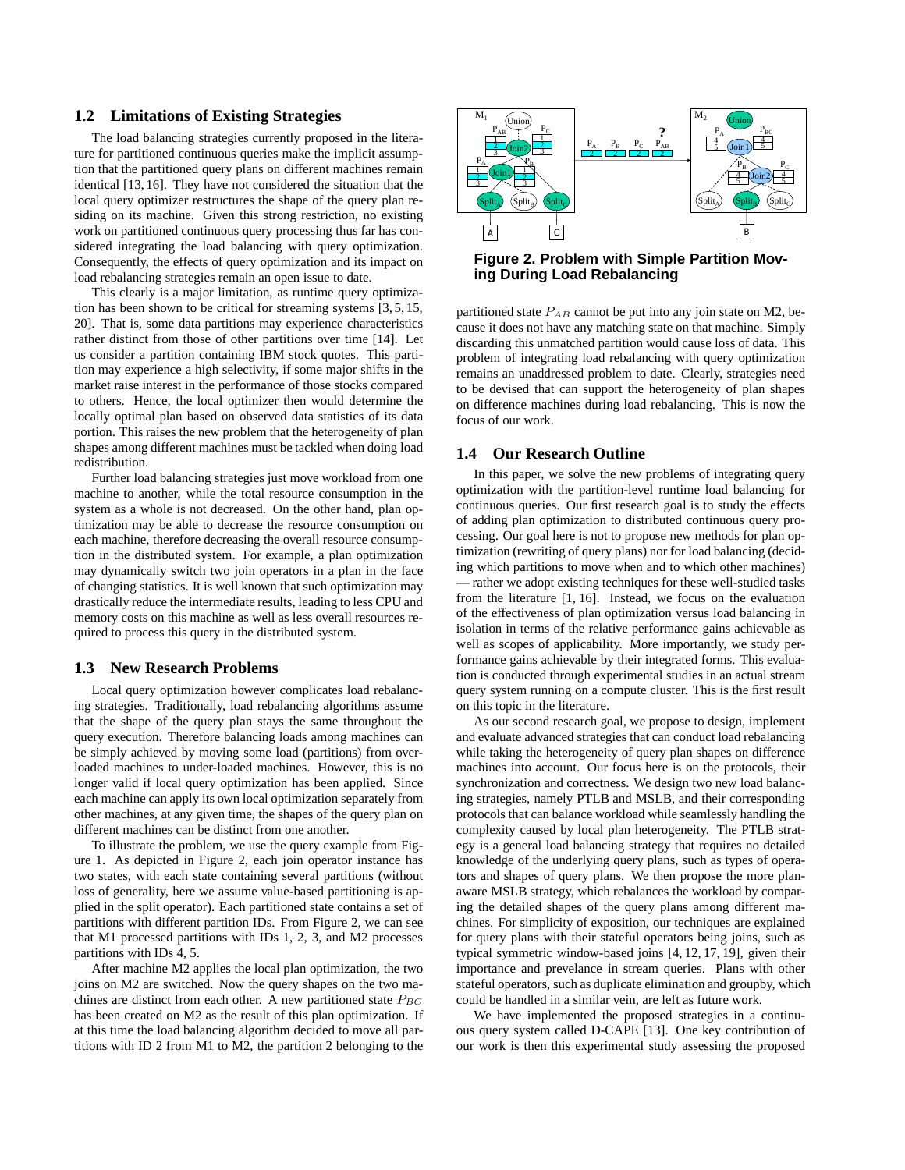#### **1.2 Limitations of Existing Strategies**

The load balancing strategies currently proposed in the literature for partitioned continuous queries make the implicit assumption that the partitioned query plans on different machines remain identical [13, 16]. They have not considered the situation that the local query optimizer restructures the shape of the query plan residing on its machine. Given this strong restriction, no existing work on partitioned continuous query processing thus far has considered integrating the load balancing with query optimization. Consequently, the effects of query optimization and its impact on load rebalancing strategies remain an open issue to date.

This clearly is a major limitation, as runtime query optimization has been shown to be critical for streaming systems [3, 5, 15, 20]. That is, some data partitions may experience characteristics rather distinct from those of other partitions over time [14]. Let us consider a partition containing IBM stock quotes. This partition may experience a high selectivity, if some major shifts in the market raise interest in the performance of those stocks compared to others. Hence, the local optimizer then would determine the locally optimal plan based on observed data statistics of its data portion. This raises the new problem that the heterogeneity of plan shapes among different machines must be tackled when doing load redistribution.

Further load balancing strategies just move workload from one machine to another, while the total resource consumption in the system as a whole is not decreased. On the other hand, plan optimization may be able to decrease the resource consumption on each machine, therefore decreasing the overall resource consumption in the distributed system. For example, a plan optimization may dynamically switch two join operators in a plan in the face of changing statistics. It is well known that such optimization may drastically reduce the intermediate results, leading to less CPU and memory costs on this machine as well as less overall resources required to process this query in the distributed system.

# **1.3 New Research Problems**

Local query optimization however complicates load rebalancing strategies. Traditionally, load rebalancing algorithms assume that the shape of the query plan stays the same throughout the query execution. Therefore balancing loads among machines can be simply achieved by moving some load (partitions) from overloaded machines to under-loaded machines. However, this is no longer valid if local query optimization has been applied. Since each machine can apply its own local optimization separately from other machines, at any given time, the shapes of the query plan on different machines can be distinct from one another.

To illustrate the problem, we use the query example from Figure 1. As depicted in Figure 2, each join operator instance has two states, with each state containing several partitions (without loss of generality, here we assume value-based partitioning is applied in the split operator). Each partitioned state contains a set of partitions with different partition IDs. From Figure 2, we can see that M1 processed partitions with IDs 1, 2, 3, and M2 processes partitions with IDs 4, 5.

After machine M2 applies the local plan optimization, the two joins on M2 are switched. Now the query shapes on the two machines are distinct from each other. A new partitioned state  $P_{BC}$ has been created on M2 as the result of this plan optimization. If at this time the load balancing algorithm decided to move all partitions with ID 2 from M1 to M2, the partition 2 belonging to the



**Figure 2. Problem with Simple Partition Moving During Load Rebalancing**

partitioned state  $P_{AB}$  cannot be put into any join state on M2, because it does not have any matching state on that machine. Simply discarding this unmatched partition would cause loss of data. This problem of integrating load rebalancing with query optimization remains an unaddressed problem to date. Clearly, strategies need to be devised that can support the heterogeneity of plan shapes on difference machines during load rebalancing. This is now the focus of our work.

### **1.4 Our Research Outline**

In this paper, we solve the new problems of integrating query optimization with the partition-level runtime load balancing for continuous queries. Our first research goal is to study the effects of adding plan optimization to distributed continuous query processing. Our goal here is not to propose new methods for plan optimization (rewriting of query plans) nor for load balancing (deciding which partitions to move when and to which other machines) — rather we adopt existing techniques for these well-studied tasks from the literature [1, 16]. Instead, we focus on the evaluation of the effectiveness of plan optimization versus load balancing in isolation in terms of the relative performance gains achievable as well as scopes of applicability. More importantly, we study performance gains achievable by their integrated forms. This evaluation is conducted through experimental studies in an actual stream query system running on a compute cluster. This is the first result on this topic in the literature.

As our second research goal, we propose to design, implement and evaluate advanced strategies that can conduct load rebalancing while taking the heterogeneity of query plan shapes on difference machines into account. Our focus here is on the protocols, their synchronization and correctness. We design two new load balancing strategies, namely PTLB and MSLB, and their corresponding protocols that can balance workload while seamlessly handling the complexity caused by local plan heterogeneity. The PTLB strategy is a general load balancing strategy that requires no detailed knowledge of the underlying query plans, such as types of operators and shapes of query plans. We then propose the more planaware MSLB strategy, which rebalances the workload by comparing the detailed shapes of the query plans among different machines. For simplicity of exposition, our techniques are explained for query plans with their stateful operators being joins, such as typical symmetric window-based joins [4, 12, 17, 19], given their importance and prevelance in stream queries. Plans with other stateful operators, such as duplicate elimination and groupby, which could be handled in a similar vein, are left as future work.

We have implemented the proposed strategies in a continuous query system called D-CAPE [13]. One key contribution of our work is then this experimental study assessing the proposed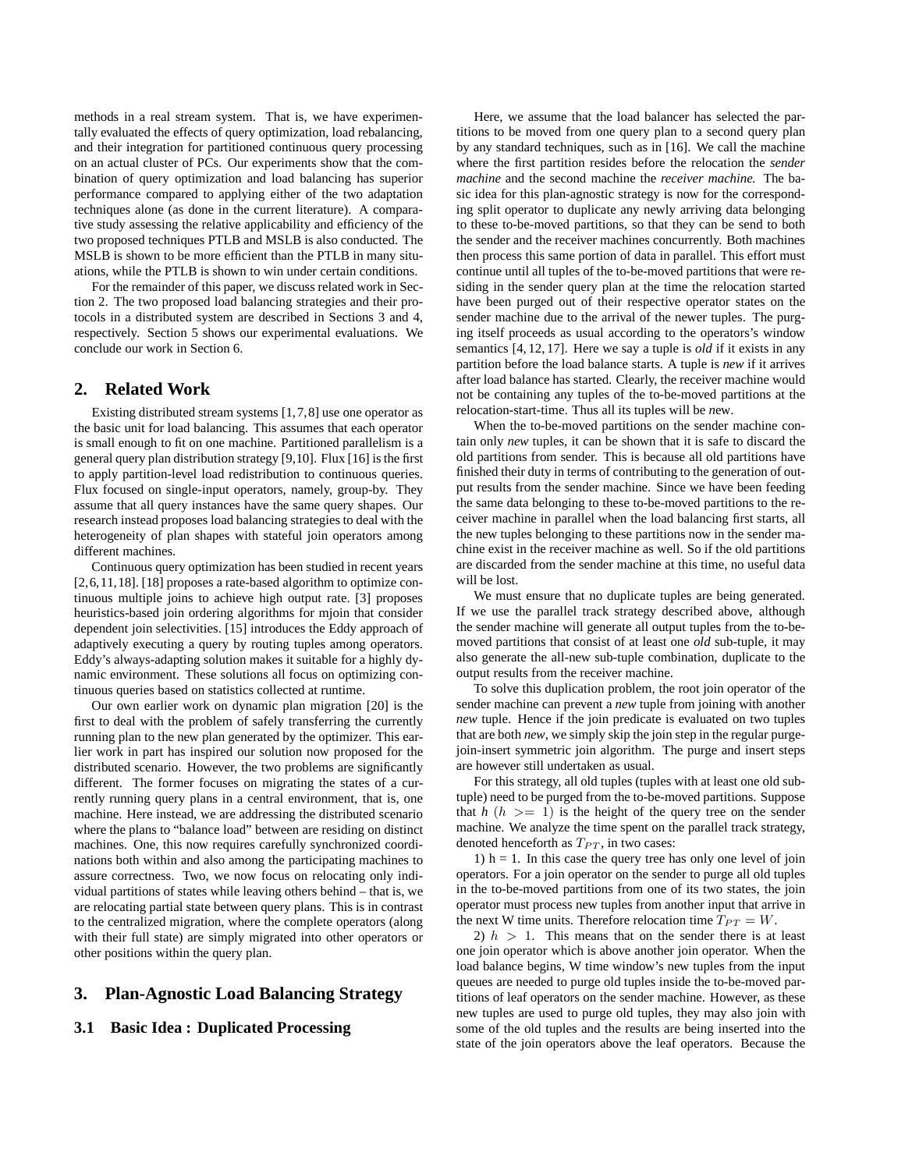methods in a real stream system. That is, we have experimentally evaluated the effects of query optimization, load rebalancing, and their integration for partitioned continuous query processing on an actual cluster of PCs. Our experiments show that the combination of query optimization and load balancing has superior performance compared to applying either of the two adaptation techniques alone (as done in the current literature). A comparative study assessing the relative applicability and efficiency of the two proposed techniques PTLB and MSLB is also conducted. The MSLB is shown to be more efficient than the PTLB in many situations, while the PTLB is shown to win under certain conditions.

For the remainder of this paper, we discuss related work in Section 2. The two proposed load balancing strategies and their protocols in a distributed system are described in Sections 3 and 4, respectively. Section 5 shows our experimental evaluations. We conclude our work in Section 6.

# **2. Related Work**

Existing distributed stream systems [1,7,8] use one operator as the basic unit for load balancing. This assumes that each operator is small enough to fit on one machine. Partitioned parallelism is a general query plan distribution strategy [9,10]. Flux [16] is the first to apply partition-level load redistribution to continuous queries. Flux focused on single-input operators, namely, group-by. They assume that all query instances have the same query shapes. Our research instead proposes load balancing strategies to deal with the heterogeneity of plan shapes with stateful join operators among different machines.

Continuous query optimization has been studied in recent years [2,6,11,18]. [18] proposes a rate-based algorithm to optimize continuous multiple joins to achieve high output rate. [3] proposes heuristics-based join ordering algorithms for mjoin that consider dependent join selectivities. [15] introduces the Eddy approach of adaptively executing a query by routing tuples among operators. Eddy's always-adapting solution makes it suitable for a highly dynamic environment. These solutions all focus on optimizing continuous queries based on statistics collected at runtime.

Our own earlier work on dynamic plan migration [20] is the first to deal with the problem of safely transferring the currently running plan to the new plan generated by the optimizer. This earlier work in part has inspired our solution now proposed for the distributed scenario. However, the two problems are significantly different. The former focuses on migrating the states of a currently running query plans in a central environment, that is, one machine. Here instead, we are addressing the distributed scenario where the plans to "balance load" between are residing on distinct machines. One, this now requires carefully synchronized coordinations both within and also among the participating machines to assure correctness. Two, we now focus on relocating only individual partitions of states while leaving others behind – that is, we are relocating partial state between query plans. This is in contrast to the centralized migration, where the complete operators (along with their full state) are simply migrated into other operators or other positions within the query plan.

# **3. Plan-Agnostic Load Balancing Strategy**

#### **3.1 Basic Idea : Duplicated Processing**

Here, we assume that the load balancer has selected the partitions to be moved from one query plan to a second query plan by any standard techniques, such as in [16]. We call the machine where the first partition resides before the relocation the *sender machine* and the second machine the *receiver machine.* The basic idea for this plan-agnostic strategy is now for the corresponding split operator to duplicate any newly arriving data belonging to these to-be-moved partitions, so that they can be send to both the sender and the receiver machines concurrently. Both machines then process this same portion of data in parallel. This effort must continue until all tuples of the to-be-moved partitions that were residing in the sender query plan at the time the relocation started have been purged out of their respective operator states on the sender machine due to the arrival of the newer tuples. The purging itself proceeds as usual according to the operators's window semantics [4, 12, 17]. Here we say a tuple is *old* if it exists in any partition before the load balance starts. A tuple is *new* if it arrives after load balance has started. Clearly, the receiver machine would not be containing any tuples of the to-be-moved partitions at the relocation-start-time. Thus all its tuples will be *n*ew.

When the to-be-moved partitions on the sender machine contain only *new* tuples, it can be shown that it is safe to discard the old partitions from sender. This is because all old partitions have finished their duty in terms of contributing to the generation of output results from the sender machine. Since we have been feeding the same data belonging to these to-be-moved partitions to the receiver machine in parallel when the load balancing first starts, all the new tuples belonging to these partitions now in the sender machine exist in the receiver machine as well. So if the old partitions are discarded from the sender machine at this time, no useful data will be lost.

We must ensure that no duplicate tuples are being generated. If we use the parallel track strategy described above, although the sender machine will generate all output tuples from the to-bemoved partitions that consist of at least one *old* sub-tuple, it may also generate the all-new sub-tuple combination, duplicate to the output results from the receiver machine.

To solve this duplication problem, the root join operator of the sender machine can prevent a *new* tuple from joining with another *new* tuple. Hence if the join predicate is evaluated on two tuples that are both *new*, we simply skip the join step in the regular purgejoin-insert symmetric join algorithm. The purge and insert steps are however still undertaken as usual.

For this strategy, all old tuples (tuples with at least one old subtuple) need to be purged from the to-be-moved partitions. Suppose that  $h(h) = 1$  is the height of the query tree on the sender machine. We analyze the time spent on the parallel track strategy, denoted henceforth as  $T_{PT}$ , in two cases:

1)  $h = 1$ . In this case the query tree has only one level of join operators. For a join operator on the sender to purge all old tuples in the to-be-moved partitions from one of its two states, the join operator must process new tuples from another input that arrive in the next W time units. Therefore relocation time  $T_{PT} = W$ .

2)  $h > 1$ . This means that on the sender there is at least one join operator which is above another join operator. When the load balance begins, W time window's new tuples from the input queues are needed to purge old tuples inside the to-be-moved partitions of leaf operators on the sender machine. However, as these new tuples are used to purge old tuples, they may also join with some of the old tuples and the results are being inserted into the state of the join operators above the leaf operators. Because the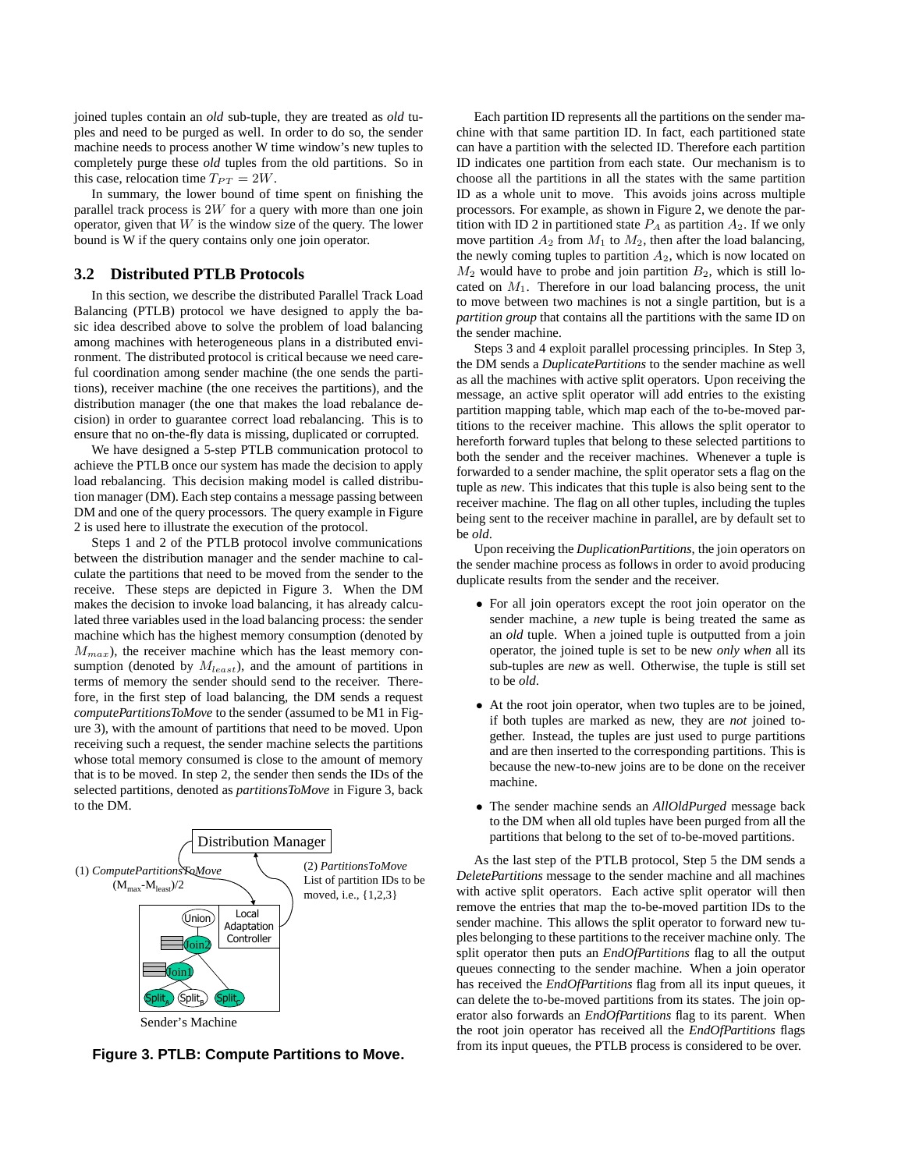joined tuples contain an *old* sub-tuple, they are treated as *old* tuples and need to be purged as well. In order to do so, the sender machine needs to process another W time window's new tuples to completely purge these *old* tuples from the old partitions. So in this case, relocation time  $T_{PT} = 2W$ .

In summary, the lower bound of time spent on finishing the parallel track process is 2W for a query with more than one join operator, given that  $W$  is the window size of the query. The lower bound is W if the query contains only one join operator.

# **3.2 Distributed PTLB Protocols**

In this section, we describe the distributed Parallel Track Load Balancing (PTLB) protocol we have designed to apply the basic idea described above to solve the problem of load balancing among machines with heterogeneous plans in a distributed environment. The distributed protocol is critical because we need careful coordination among sender machine (the one sends the partitions), receiver machine (the one receives the partitions), and the distribution manager (the one that makes the load rebalance decision) in order to guarantee correct load rebalancing. This is to ensure that no on-the-fly data is missing, duplicated or corrupted.

We have designed a 5-step PTLB communication protocol to achieve the PTLB once our system has made the decision to apply load rebalancing. This decision making model is called distribution manager (DM). Each step contains a message passing between DM and one of the query processors. The query example in Figure 2 is used here to illustrate the execution of the protocol.

Steps 1 and 2 of the PTLB protocol involve communications between the distribution manager and the sender machine to calculate the partitions that need to be moved from the sender to the receive. These steps are depicted in Figure 3. When the DM makes the decision to invoke load balancing, it has already calculated three variables used in the load balancing process: the sender machine which has the highest memory consumption (denoted by  $M_{max}$ ), the receiver machine which has the least memory consumption (denoted by  $M_{least}$ ), and the amount of partitions in terms of memory the sender should send to the receiver. Therefore, in the first step of load balancing, the DM sends a request *computePartitionsToMove* to the sender (assumed to be M1 in Figure 3), with the amount of partitions that need to be moved. Upon receiving such a request, the sender machine selects the partitions whose total memory consumed is close to the amount of memory that is to be moved. In step 2, the sender then sends the IDs of the selected partitions, denoted as *partitionsToMove* in Figure 3, back to the DM.



**Figure 3. PTLB: Compute Partitions to Move.**

Each partition ID represents all the partitions on the sender machine with that same partition ID. In fact, each partitioned state can have a partition with the selected ID. Therefore each partition ID indicates one partition from each state. Our mechanism is to choose all the partitions in all the states with the same partition ID as a whole unit to move. This avoids joins across multiple processors. For example, as shown in Figure 2, we denote the partition with ID 2 in partitioned state  $P_A$  as partition  $A_2$ . If we only move partition  $A_2$  from  $M_1$  to  $M_2$ , then after the load balancing, the newly coming tuples to partition  $A_2$ , which is now located on  $M_2$  would have to probe and join partition  $B_2$ , which is still located on  $M_1$ . Therefore in our load balancing process, the unit to move between two machines is not a single partition, but is a *partition group* that contains all the partitions with the same ID on the sender machine.

Steps 3 and 4 exploit parallel processing principles. In Step 3, the DM sends a *DuplicatePartitions* to the sender machine as well as all the machines with active split operators. Upon receiving the message, an active split operator will add entries to the existing partition mapping table, which map each of the to-be-moved partitions to the receiver machine. This allows the split operator to hereforth forward tuples that belong to these selected partitions to both the sender and the receiver machines. Whenever a tuple is forwarded to a sender machine, the split operator sets a flag on the tuple as *new*. This indicates that this tuple is also being sent to the receiver machine. The flag on all other tuples, including the tuples being sent to the receiver machine in parallel, are by default set to be *old*.

Upon receiving the *DuplicationPartitions*, the join operators on the sender machine process as follows in order to avoid producing duplicate results from the sender and the receiver.

- For all join operators except the root join operator on the sender machine, a *new* tuple is being treated the same as an *old* tuple. When a joined tuple is outputted from a join operator, the joined tuple is set to be new *only when* all its sub-tuples are *new* as well. Otherwise, the tuple is still set to be *old*.
- At the root join operator, when two tuples are to be joined, if both tuples are marked as new, they are *not* joined together. Instead, the tuples are just used to purge partitions and are then inserted to the corresponding partitions. This is because the new-to-new joins are to be done on the receiver machine.
- The sender machine sends an *AllOldPurged* message back to the DM when all old tuples have been purged from all the partitions that belong to the set of to-be-moved partitions.

As the last step of the PTLB protocol, Step 5 the DM sends a *DeletePartitions* message to the sender machine and all machines with active split operators. Each active split operator will then remove the entries that map the to-be-moved partition IDs to the sender machine. This allows the split operator to forward new tuples belonging to these partitions to the receiver machine only. The split operator then puts an *EndOfPartitions* flag to all the output queues connecting to the sender machine. When a join operator has received the *EndOfPartitions* flag from all its input queues, it can delete the to-be-moved partitions from its states. The join operator also forwards an *EndOfPartitions* flag to its parent. When the root join operator has received all the *EndOfPartitions* flags from its input queues, the PTLB process is considered to be over.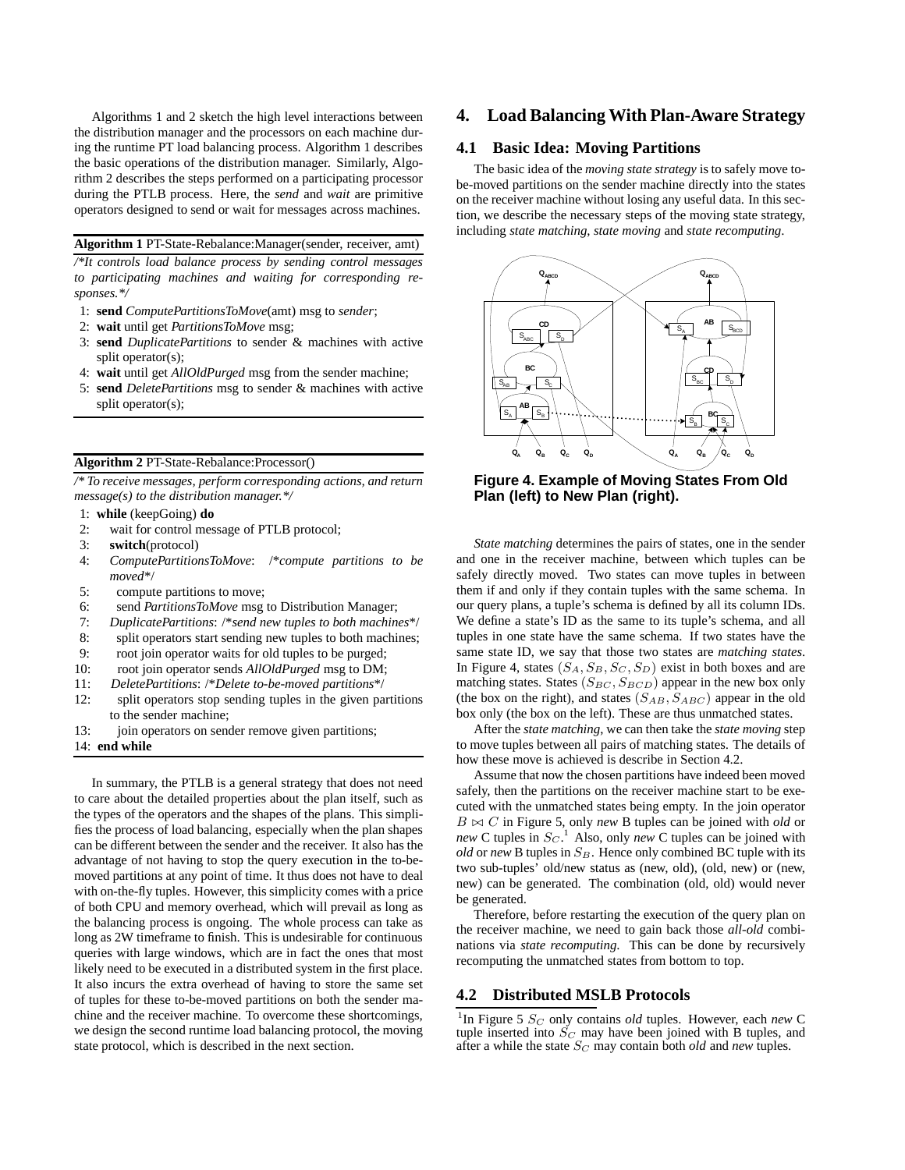Algorithms 1 and 2 sketch the high level interactions between the distribution manager and the processors on each machine during the runtime PT load balancing process. Algorithm 1 describes the basic operations of the distribution manager. Similarly, Algorithm 2 describes the steps performed on a participating processor during the PTLB process. Here, the *send* and *wait* are primitive operators designed to send or wait for messages across machines.

**Algorithm 1** PT-State-Rebalance:Manager(sender, receiver, amt) */\*It controls load balance process by sending control messages to participating machines and waiting for corresponding responses.\*/*

- 1: **send** *ComputePartitionsToMove*(amt) msg to *sender*;
- 2: **wait** until get *PartitionsToMove* msg;
- 3: **send** *DuplicatePartitions* to sender & machines with active split operator(s);
- 4: **wait** until get *AllOldPurged* msg from the sender machine;
- 5: **send** *DeletePartitions* msg to sender & machines with active split operator(s);

#### **Algorithm 2** PT-State-Rebalance:Processor()

*/\* To receive messages, perform corresponding actions, and return message(s) to the distribution manager.\*/*

- 1: **while** (keepGoing) **do**
- 2: wait for control message of PTLB protocol;
- 3: **switch**(protocol)
- 4: *ComputePartitionsToMove*: /\**compute partitions to be moved*\*/
- 5: compute partitions to move;
- 6: send *PartitionsToMove* msg to Distribution Manager;
- 7: *DuplicatePartitions*: /\**send new tuples to both machines*\*/
- 8: split operators start sending new tuples to both machines;
- 9: root join operator waits for old tuples to be purged;
- 10: root join operator sends *AllOldPurged* msg to DM;
- 11: *DeletePartitions*: /\**Delete to-be-moved partitions*\*/
- 12: split operators stop sending tuples in the given partitions to the sender machine;
- 13: join operators on sender remove given partitions;
- 14: **end while**

In summary, the PTLB is a general strategy that does not need to care about the detailed properties about the plan itself, such as the types of the operators and the shapes of the plans. This simplifies the process of load balancing, especially when the plan shapes can be different between the sender and the receiver. It also has the advantage of not having to stop the query execution in the to-bemoved partitions at any point of time. It thus does not have to deal with on-the-fly tuples. However, this simplicity comes with a price of both CPU and memory overhead, which will prevail as long as the balancing process is ongoing. The whole process can take as long as 2W timeframe to finish. This is undesirable for continuous queries with large windows, which are in fact the ones that most likely need to be executed in a distributed system in the first place. It also incurs the extra overhead of having to store the same set of tuples for these to-be-moved partitions on both the sender machine and the receiver machine. To overcome these shortcomings, we design the second runtime load balancing protocol, the moving state protocol, which is described in the next section.

### **4. Load Balancing With Plan-Aware Strategy**

#### **4.1 Basic Idea: Moving Partitions**

The basic idea of the *moving state strategy* is to safely move tobe-moved partitions on the sender machine directly into the states on the receiver machine without losing any useful data. In this section, we describe the necessary steps of the moving state strategy, including *state matching*, *state moving* and *state recomputing*.



**Figure 4. Example of Moving States From Old Plan (left) to New Plan (right).**

*State matching* determines the pairs of states, one in the sender and one in the receiver machine, between which tuples can be safely directly moved. Two states can move tuples in between them if and only if they contain tuples with the same schema. In our query plans, a tuple's schema is defined by all its column IDs. We define a state's ID as the same to its tuple's schema, and all tuples in one state have the same schema. If two states have the same state ID, we say that those two states are *matching states*. In Figure 4, states  $(S_A, S_B, S_C, S_D)$  exist in both boxes and are matching states. States ( $S_{BC}$ ,  $S_{BCD}$ ) appear in the new box only (the box on the right), and states  $(S_{AB}, S_{ABC})$  appear in the old box only (the box on the left). These are thus unmatched states.

After the *state matching*, we can then take the *state moving* step to move tuples between all pairs of matching states. The details of how these move is achieved is describe in Section 4.2.

Assume that now the chosen partitions have indeed been moved safely, then the partitions on the receiver machine start to be executed with the unmatched states being empty. In the join operator  $B \bowtie C$  in Figure 5, only *new* B tuples can be joined with *old* or *new* C tuples in  $S_C$ .<sup>1</sup> Also, only *new* C tuples can be joined with  $old$  or  $new$  B tuples in  $S_B$ . Hence only combined BC tuple with its two sub-tuples' old/new status as (new, old), (old, new) or (new, new) can be generated. The combination (old, old) would never be generated.

Therefore, before restarting the execution of the query plan on the receiver machine, we need to gain back those *all-old* combinations via *state recomputing*. This can be done by recursively recomputing the unmatched states from bottom to top.

#### **4.2 Distributed MSLB Protocols**

<sup>1</sup>In Figure 5  $S_C$  only contains *old* tuples. However, each *new* C tuple inserted into  $S_C$  may have been joined with B tuples, and after a while the state  $S_C$  may contain both *old* and *new* tuples.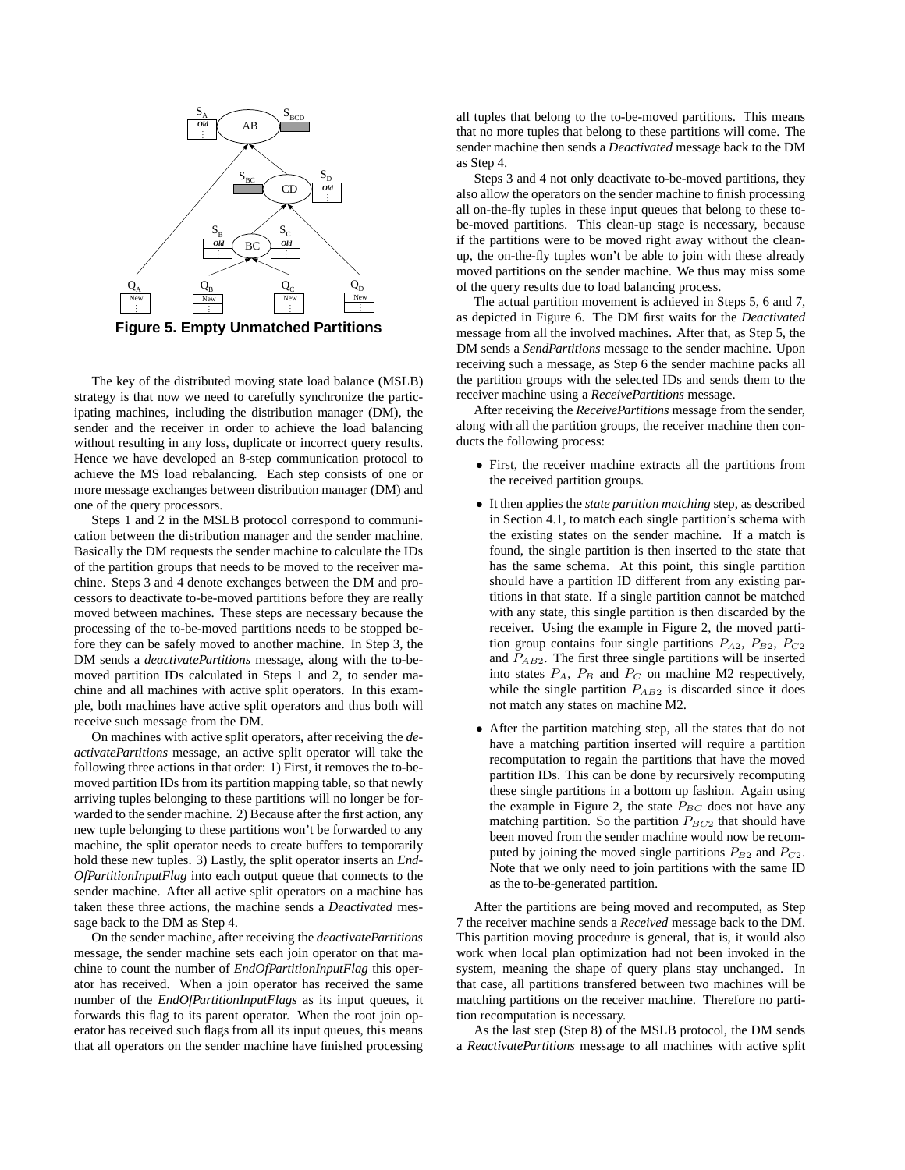

**Figure 5. Empty Unmatched Partitions**

The key of the distributed moving state load balance (MSLB) strategy is that now we need to carefully synchronize the participating machines, including the distribution manager (DM), the sender and the receiver in order to achieve the load balancing without resulting in any loss, duplicate or incorrect query results. Hence we have developed an 8-step communication protocol to achieve the MS load rebalancing. Each step consists of one or more message exchanges between distribution manager (DM) and one of the query processors.

Steps 1 and 2 in the MSLB protocol correspond to communication between the distribution manager and the sender machine. Basically the DM requests the sender machine to calculate the IDs of the partition groups that needs to be moved to the receiver machine. Steps 3 and 4 denote exchanges between the DM and processors to deactivate to-be-moved partitions before they are really moved between machines. These steps are necessary because the processing of the to-be-moved partitions needs to be stopped before they can be safely moved to another machine. In Step 3, the DM sends a *deactivatePartitions* message, along with the to-bemoved partition IDs calculated in Steps 1 and 2, to sender machine and all machines with active split operators. In this example, both machines have active split operators and thus both will receive such message from the DM.

On machines with active split operators, after receiving the *deactivatePartitions* message, an active split operator will take the following three actions in that order: 1) First, it removes the to-bemoved partition IDs from its partition mapping table, so that newly arriving tuples belonging to these partitions will no longer be forwarded to the sender machine. 2) Because after the first action, any new tuple belonging to these partitions won't be forwarded to any machine, the split operator needs to create buffers to temporarily hold these new tuples. 3) Lastly, the split operator inserts an *End-OfPartitionInputFlag* into each output queue that connects to the sender machine. After all active split operators on a machine has taken these three actions, the machine sends a *Deactivated* message back to the DM as Step 4.

On the sender machine, after receiving the *deactivatePartitions* message, the sender machine sets each join operator on that machine to count the number of *EndOfPartitionInputFlag* this operator has received. When a join operator has received the same number of the *EndOfPartitionInputFlags* as its input queues, it forwards this flag to its parent operator. When the root join operator has received such flags from all its input queues, this means that all operators on the sender machine have finished processing all tuples that belong to the to-be-moved partitions. This means that no more tuples that belong to these partitions will come. The sender machine then sends a *Deactivated* message back to the DM as Step 4.

Steps 3 and 4 not only deactivate to-be-moved partitions, they also allow the operators on the sender machine to finish processing all on-the-fly tuples in these input queues that belong to these tobe-moved partitions. This clean-up stage is necessary, because if the partitions were to be moved right away without the cleanup, the on-the-fly tuples won't be able to join with these already moved partitions on the sender machine. We thus may miss some of the query results due to load balancing process.

The actual partition movement is achieved in Steps 5, 6 and 7, as depicted in Figure 6. The DM first waits for the *Deactivated* message from all the involved machines. After that, as Step 5, the DM sends a *SendPartitions* message to the sender machine. Upon receiving such a message, as Step 6 the sender machine packs all the partition groups with the selected IDs and sends them to the receiver machine using a *ReceivePartitions* message.

After receiving the *ReceivePartitions* message from the sender, along with all the partition groups, the receiver machine then conducts the following process:

- First, the receiver machine extracts all the partitions from the received partition groups.
- It then applies the *state partition matching* step, as described in Section 4.1, to match each single partition's schema with the existing states on the sender machine. If a match is found, the single partition is then inserted to the state that has the same schema. At this point, this single partition should have a partition ID different from any existing partitions in that state. If a single partition cannot be matched with any state, this single partition is then discarded by the receiver. Using the example in Figure 2, the moved partition group contains four single partitions  $P_{A2}$ ,  $P_{B2}$ ,  $P_{C2}$ and  $P_{AB2}$ . The first three single partitions will be inserted into states  $P_A$ ,  $P_B$  and  $P_C$  on machine M2 respectively, while the single partition  $P_{AB2}$  is discarded since it does not match any states on machine M2.
- After the partition matching step, all the states that do not have a matching partition inserted will require a partition recomputation to regain the partitions that have the moved partition IDs. This can be done by recursively recomputing these single partitions in a bottom up fashion. Again using the example in Figure 2, the state  $P_{BC}$  does not have any matching partition. So the partition  $P_{BC2}$  that should have been moved from the sender machine would now be recomputed by joining the moved single partitions  $P_{B2}$  and  $P_{C2}$ . Note that we only need to join partitions with the same ID as the to-be-generated partition.

After the partitions are being moved and recomputed, as Step 7 the receiver machine sends a *Received* message back to the DM. This partition moving procedure is general, that is, it would also work when local plan optimization had not been invoked in the system, meaning the shape of query plans stay unchanged. In that case, all partitions transfered between two machines will be matching partitions on the receiver machine. Therefore no partition recomputation is necessary.

As the last step (Step 8) of the MSLB protocol, the DM sends a *ReactivatePartitions* message to all machines with active split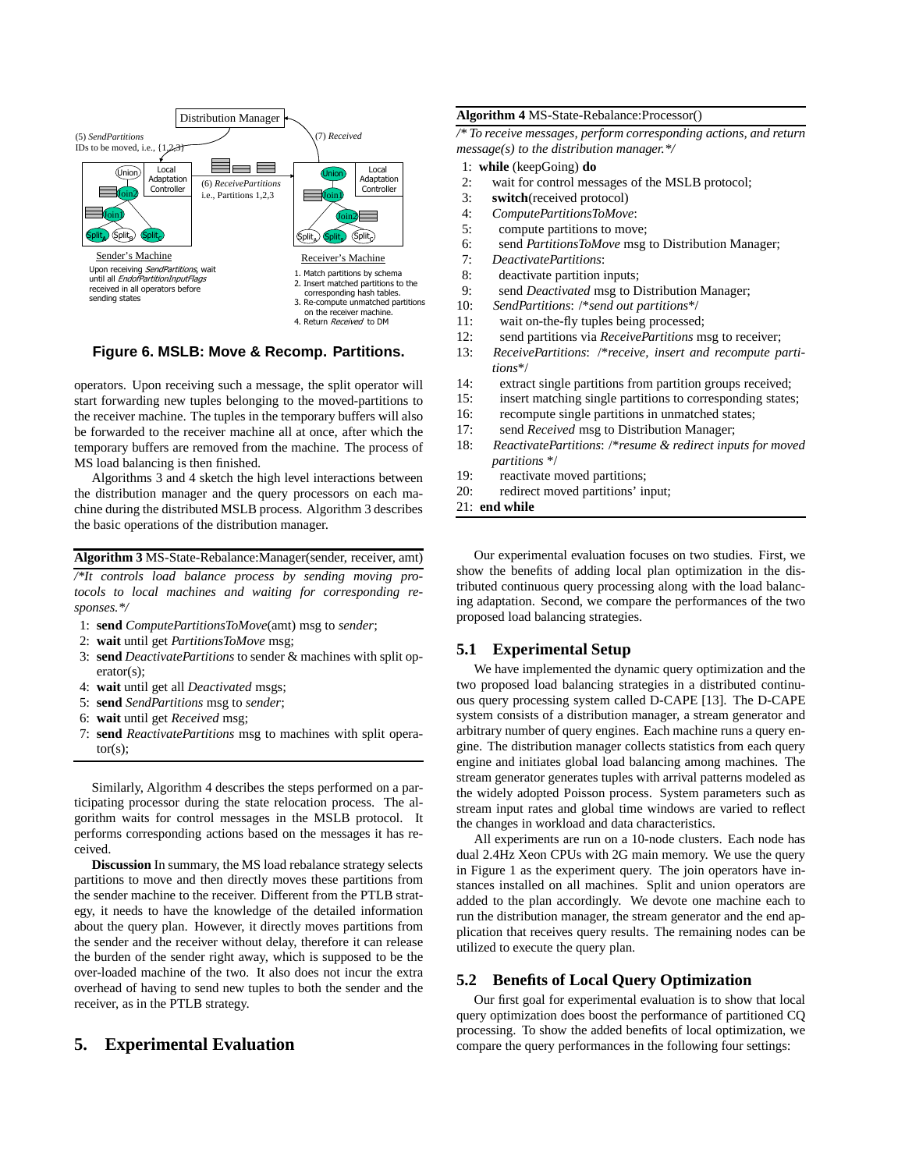

**Figure 6. MSLB: Move & Recomp. Partitions.**

operators. Upon receiving such a message, the split operator will start forwarding new tuples belonging to the moved-partitions to the receiver machine. The tuples in the temporary buffers will also be forwarded to the receiver machine all at once, after which the temporary buffers are removed from the machine. The process of MS load balancing is then finished.

Algorithms 3 and 4 sketch the high level interactions between the distribution manager and the query processors on each machine during the distributed MSLB process. Algorithm 3 describes the basic operations of the distribution manager.

# **Algorithm 3** MS-State-Rebalance:Manager(sender, receiver, amt)

*/\*It controls load balance process by sending moving protocols to local machines and waiting for corresponding responses.\*/*

- 1: **send** *ComputePartitionsToMove*(amt) msg to *sender*;
- 2: **wait** until get *PartitionsToMove* msg;
- 3: **send** *DeactivatePartitions* to sender & machines with split operator(s);
- 4: **wait** until get all *Deactivated* msgs;
- 5: **send** *SendPartitions* msg to *sender*;
- 6: **wait** until get *Received* msg;
- 7: **send** *ReactivatePartitions* msg to machines with split opera $tor(s);$

Similarly, Algorithm 4 describes the steps performed on a participating processor during the state relocation process. The algorithm waits for control messages in the MSLB protocol. It performs corresponding actions based on the messages it has received.

**Discussion** In summary, the MS load rebalance strategy selects partitions to move and then directly moves these partitions from the sender machine to the receiver. Different from the PTLB strategy, it needs to have the knowledge of the detailed information about the query plan. However, it directly moves partitions from the sender and the receiver without delay, therefore it can release the burden of the sender right away, which is supposed to be the over-loaded machine of the two. It also does not incur the extra overhead of having to send new tuples to both the sender and the receiver, as in the PTLB strategy.

# **5. Experimental Evaluation**

#### **Algorithm 4** MS-State-Rebalance:Processor()

*/\* To receive messages, perform corresponding actions, and return message(s) to the distribution manager.\*/*

#### 1: **while** (keepGoing) **do**

- 2: wait for control messages of the MSLB protocol;
- 3: **switch**(received protocol)
- 4: *ComputePartitionsToMove*:
- 5: compute partitions to move;
- 6: send *PartitionsToMove* msg to Distribution Manager;<br>7: DeactivatePartitions:
- 7: *DeactivatePartitions*:
- 8: deactivate partition inputs;
- 9: send *Deactivated* msg to Distribution Manager;
- 10: *SendPartitions*: /\**send out partitions*\*/
- 11: wait on-the-fly tuples being processed;
- 12: send partitions via *ReceivePartitions* msg to receiver;
- 13: *ReceivePartitions*: /\**receive, insert and recompute partitions*\*/
- 14: extract single partitions from partition groups received;
- 15: insert matching single partitions to corresponding states;
- 16: recompute single partitions in unmatched states;
- 17: send *Received* msg to Distribution Manager;
- 18: *ReactivatePartitions*: /\**resume & redirect inputs for moved partitions* \*/
- 19: reactivate moved partitions;
- 20: redirect moved partitions' input;
- 21: **end while**

Our experimental evaluation focuses on two studies. First, we show the benefits of adding local plan optimization in the distributed continuous query processing along with the load balancing adaptation. Second, we compare the performances of the two proposed load balancing strategies.

### **5.1 Experimental Setup**

We have implemented the dynamic query optimization and the two proposed load balancing strategies in a distributed continuous query processing system called D-CAPE [13]. The D-CAPE system consists of a distribution manager, a stream generator and arbitrary number of query engines. Each machine runs a query engine. The distribution manager collects statistics from each query engine and initiates global load balancing among machines. The stream generator generates tuples with arrival patterns modeled as the widely adopted Poisson process. System parameters such as stream input rates and global time windows are varied to reflect the changes in workload and data characteristics.

All experiments are run on a 10-node clusters. Each node has dual 2.4Hz Xeon CPUs with 2G main memory. We use the query in Figure 1 as the experiment query. The join operators have instances installed on all machines. Split and union operators are added to the plan accordingly. We devote one machine each to run the distribution manager, the stream generator and the end application that receives query results. The remaining nodes can be utilized to execute the query plan.

#### **5.2 Benefits of Local Query Optimization**

Our first goal for experimental evaluation is to show that local query optimization does boost the performance of partitioned CQ processing. To show the added benefits of local optimization, we compare the query performances in the following four settings: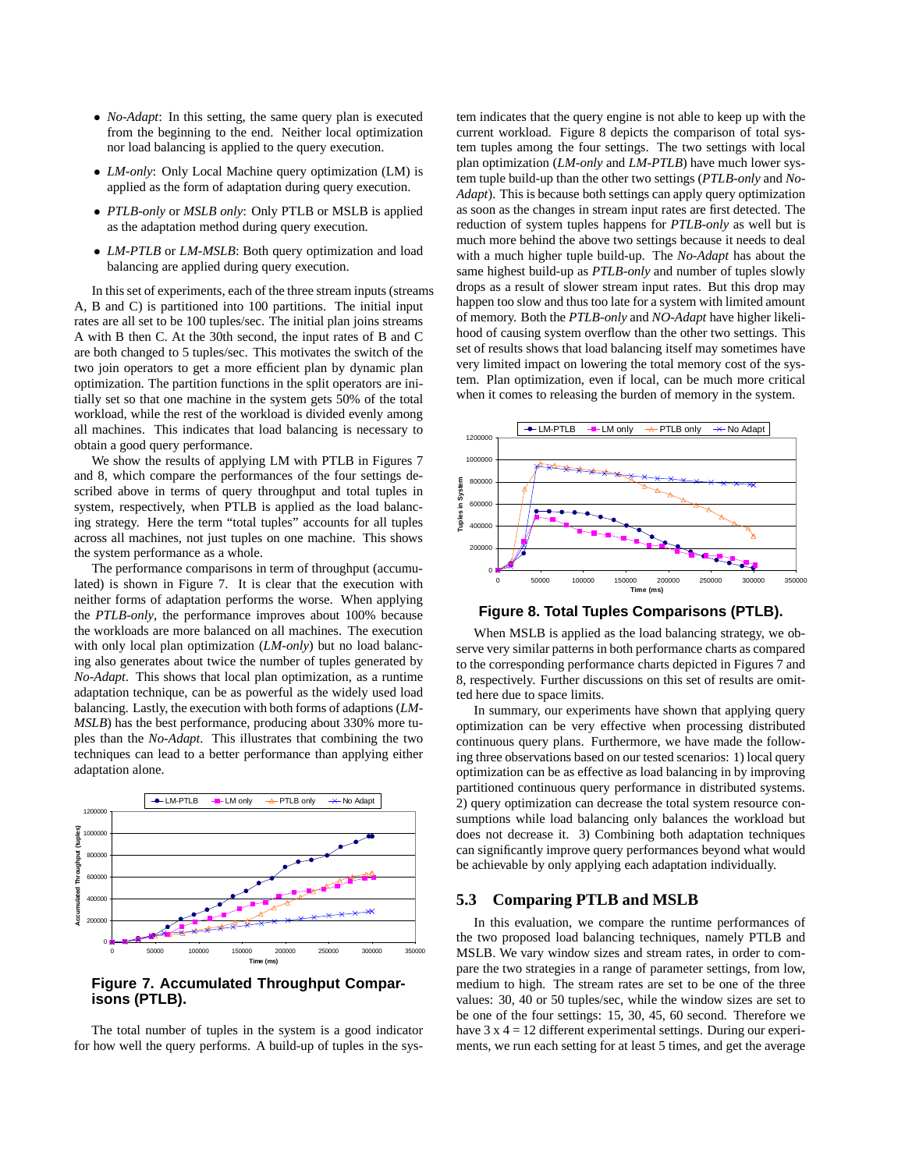- *No-Adapt*: In this setting, the same query plan is executed from the beginning to the end. Neither local optimization nor load balancing is applied to the query execution.
- *LM-only*: Only Local Machine query optimization (LM) is applied as the form of adaptation during query execution.
- *PTLB-only* or *MSLB only*: Only PTLB or MSLB is applied as the adaptation method during query execution.
- *LM-PTLB* or *LM-MSLB*: Both query optimization and load balancing are applied during query execution.

In this set of experiments, each of the three stream inputs (streams A, B and C) is partitioned into 100 partitions. The initial input rates are all set to be 100 tuples/sec. The initial plan joins streams A with B then C. At the 30th second, the input rates of B and C are both changed to 5 tuples/sec. This motivates the switch of the two join operators to get a more efficient plan by dynamic plan optimization. The partition functions in the split operators are initially set so that one machine in the system gets 50% of the total workload, while the rest of the workload is divided evenly among all machines. This indicates that load balancing is necessary to obtain a good query performance.

We show the results of applying LM with PTLB in Figures 7 and 8, which compare the performances of the four settings described above in terms of query throughput and total tuples in system, respectively, when PTLB is applied as the load balancing strategy. Here the term "total tuples" accounts for all tuples across all machines, not just tuples on one machine. This shows the system performance as a whole.

The performance comparisons in term of throughput (accumulated) is shown in Figure 7. It is clear that the execution with neither forms of adaptation performs the worse. When applying the *PTLB-only*, the performance improves about 100% because the workloads are more balanced on all machines. The execution with only local plan optimization (*LM-only*) but no load balancing also generates about twice the number of tuples generated by *No-Adapt*. This shows that local plan optimization, as a runtime adaptation technique, can be as powerful as the widely used load balancing. Lastly, the execution with both forms of adaptions (*LM-MSLB*) has the best performance, producing about 330% more tuples than the *No-Adapt*. This illustrates that combining the two techniques can lead to a better performance than applying either adaptation alone.



**Figure 7. Accumulated Throughput Comparisons (PTLB).**

The total number of tuples in the system is a good indicator for how well the query performs. A build-up of tuples in the system indicates that the query engine is not able to keep up with the current workload. Figure 8 depicts the comparison of total system tuples among the four settings. The two settings with local plan optimization (*LM-only* and *LM-PTLB*) have much lower system tuple build-up than the other two settings (*PTLB-only* and *No-Adapt*). This is because both settings can apply query optimization as soon as the changes in stream input rates are first detected. The reduction of system tuples happens for *PTLB-only* as well but is much more behind the above two settings because it needs to deal with a much higher tuple build-up. The *No-Adapt* has about the same highest build-up as *PTLB-only* and number of tuples slowly drops as a result of slower stream input rates. But this drop may happen too slow and thus too late for a system with limited amount of memory. Both the *PTLB-only* and *NO-Adapt* have higher likelihood of causing system overflow than the other two settings. This set of results shows that load balancing itself may sometimes have very limited impact on lowering the total memory cost of the system. Plan optimization, even if local, can be much more critical when it comes to releasing the burden of memory in the system.



**Figure 8. Total Tuples Comparisons (PTLB).**

When MSLB is applied as the load balancing strategy, we observe very similar patterns in both performance charts as compared to the corresponding performance charts depicted in Figures 7 and 8, respectively. Further discussions on this set of results are omitted here due to space limits.

In summary, our experiments have shown that applying query optimization can be very effective when processing distributed continuous query plans. Furthermore, we have made the following three observations based on our tested scenarios: 1) local query optimization can be as effective as load balancing in by improving partitioned continuous query performance in distributed systems. 2) query optimization can decrease the total system resource consumptions while load balancing only balances the workload but does not decrease it. 3) Combining both adaptation techniques can significantly improve query performances beyond what would be achievable by only applying each adaptation individually.

#### **5.3 Comparing PTLB and MSLB**

In this evaluation, we compare the runtime performances of the two proposed load balancing techniques, namely PTLB and MSLB. We vary window sizes and stream rates, in order to compare the two strategies in a range of parameter settings, from low, medium to high. The stream rates are set to be one of the three values: 30, 40 or 50 tuples/sec, while the window sizes are set to be one of the four settings: 15, 30, 45, 60 second. Therefore we have  $3 \times 4 = 12$  different experimental settings. During our experiments, we run each setting for at least 5 times, and get the average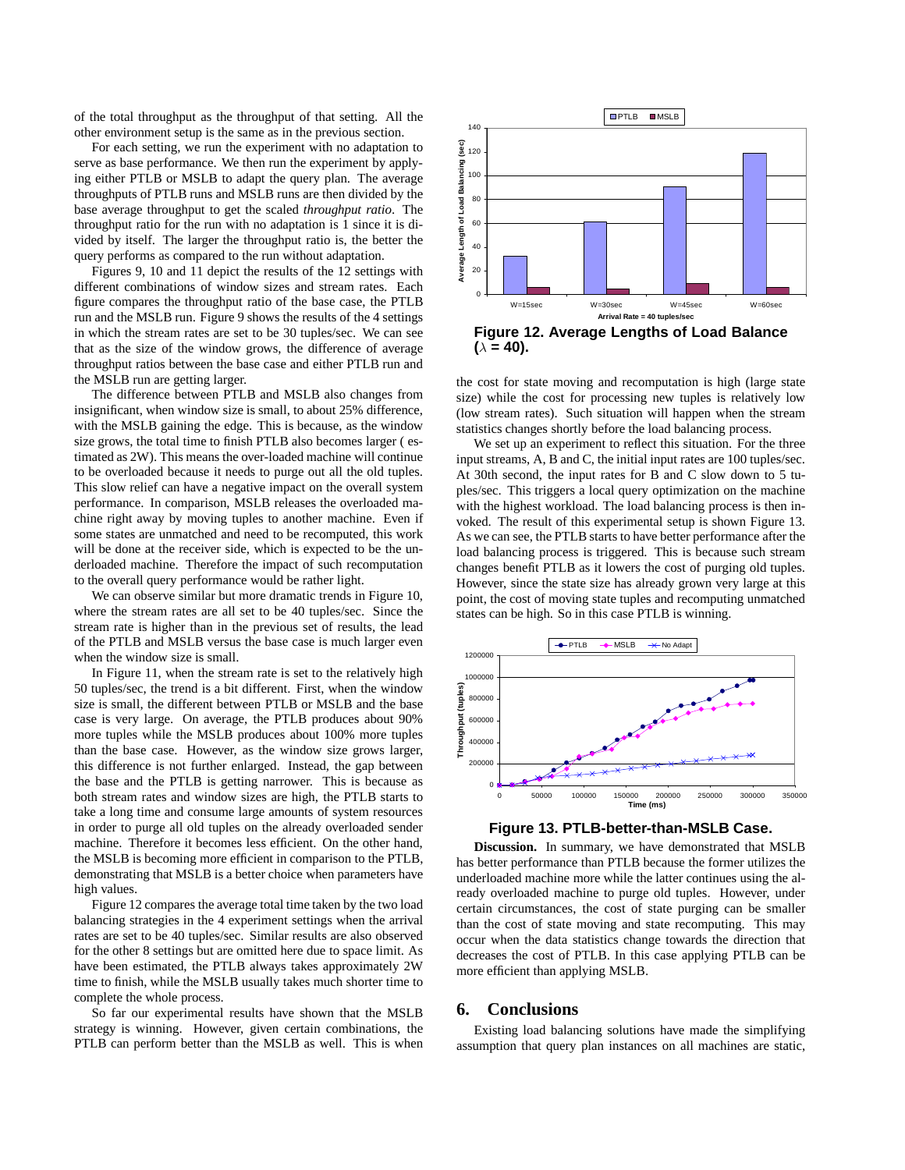of the total throughput as the throughput of that setting. All the other environment setup is the same as in the previous section.

For each setting, we run the experiment with no adaptation to serve as base performance. We then run the experiment by applying either PTLB or MSLB to adapt the query plan. The average throughputs of PTLB runs and MSLB runs are then divided by the base average throughput to get the scaled *throughput ratio*. The throughput ratio for the run with no adaptation is 1 since it is divided by itself. The larger the throughput ratio is, the better the query performs as compared to the run without adaptation.

Figures 9, 10 and 11 depict the results of the 12 settings with different combinations of window sizes and stream rates. Each figure compares the throughput ratio of the base case, the PTLB run and the MSLB run. Figure 9 shows the results of the 4 settings in which the stream rates are set to be 30 tuples/sec. We can see that as the size of the window grows, the difference of average throughput ratios between the base case and either PTLB run and the MSLB run are getting larger.

The difference between PTLB and MSLB also changes from insignificant, when window size is small, to about 25% difference, with the MSLB gaining the edge. This is because, as the window size grows, the total time to finish PTLB also becomes larger ( estimated as 2W). This means the over-loaded machine will continue to be overloaded because it needs to purge out all the old tuples. This slow relief can have a negative impact on the overall system performance. In comparison, MSLB releases the overloaded machine right away by moving tuples to another machine. Even if some states are unmatched and need to be recomputed, this work will be done at the receiver side, which is expected to be the underloaded machine. Therefore the impact of such recomputation to the overall query performance would be rather light.

We can observe similar but more dramatic trends in Figure 10, where the stream rates are all set to be 40 tuples/sec. Since the stream rate is higher than in the previous set of results, the lead of the PTLB and MSLB versus the base case is much larger even when the window size is small.

In Figure 11, when the stream rate is set to the relatively high 50 tuples/sec, the trend is a bit different. First, when the window size is small, the different between PTLB or MSLB and the base case is very large. On average, the PTLB produces about 90% more tuples while the MSLB produces about 100% more tuples than the base case. However, as the window size grows larger, this difference is not further enlarged. Instead, the gap between the base and the PTLB is getting narrower. This is because as both stream rates and window sizes are high, the PTLB starts to take a long time and consume large amounts of system resources in order to purge all old tuples on the already overloaded sender machine. Therefore it becomes less efficient. On the other hand, the MSLB is becoming more efficient in comparison to the PTLB, demonstrating that MSLB is a better choice when parameters have high values.

Figure 12 compares the average total time taken by the two load balancing strategies in the 4 experiment settings when the arrival rates are set to be 40 tuples/sec. Similar results are also observed for the other 8 settings but are omitted here due to space limit. As have been estimated, the PTLB always takes approximately 2W time to finish, while the MSLB usually takes much shorter time to complete the whole process.

So far our experimental results have shown that the MSLB strategy is winning. However, given certain combinations, the PTLB can perform better than the MSLB as well. This is when



the cost for state moving and recomputation is high (large state size) while the cost for processing new tuples is relatively low (low stream rates). Such situation will happen when the stream statistics changes shortly before the load balancing process.

We set up an experiment to reflect this situation. For the three input streams, A, B and C, the initial input rates are 100 tuples/sec. At 30th second, the input rates for B and C slow down to 5 tuples/sec. This triggers a local query optimization on the machine with the highest workload. The load balancing process is then invoked. The result of this experimental setup is shown Figure 13. As we can see, the PTLB starts to have better performance after the load balancing process is triggered. This is because such stream changes benefit PTLB as it lowers the cost of purging old tuples. However, since the state size has already grown very large at this point, the cost of moving state tuples and recomputing unmatched states can be high. So in this case PTLB is winning.





**Discussion.** In summary, we have demonstrated that MSLB has better performance than PTLB because the former utilizes the underloaded machine more while the latter continues using the already overloaded machine to purge old tuples. However, under certain circumstances, the cost of state purging can be smaller than the cost of state moving and state recomputing. This may occur when the data statistics change towards the direction that decreases the cost of PTLB. In this case applying PTLB can be more efficient than applying MSLB.

#### **6. Conclusions**

Existing load balancing solutions have made the simplifying assumption that query plan instances on all machines are static,